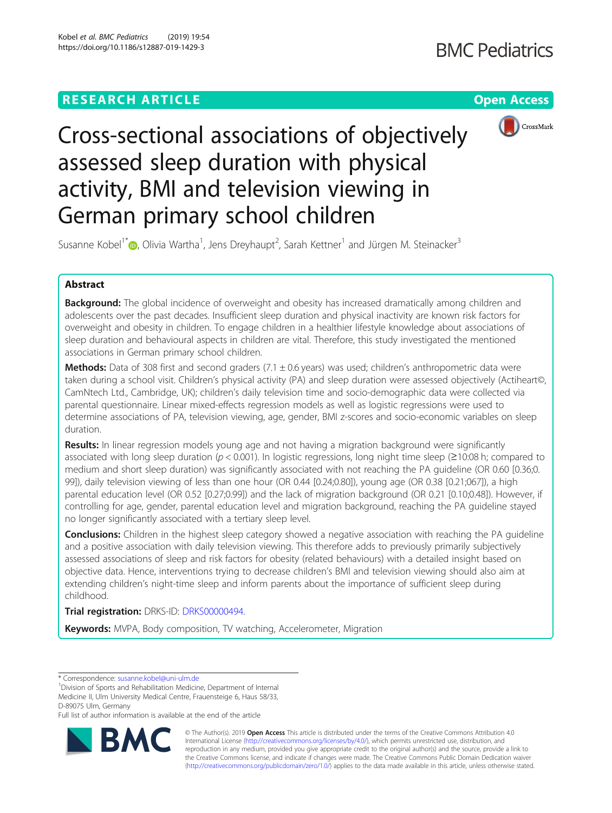

Cross-sectional associations of objectively assessed sleep duration with physical activity, BMI and television viewing in German primary school children

Susanne Kobel<sup>1\*</sup>®[,](http://orcid.org/0000-0002-0545-1500) Olivia Wartha<sup>1</sup>, Jens Dreyhaupt<sup>2</sup>, Sarah Kettner<sup>1</sup> and Jürgen M. Steinacker<sup>3</sup>

# Abstract

**Background:** The global incidence of overweight and obesity has increased dramatically among children and adolescents over the past decades. Insufficient sleep duration and physical inactivity are known risk factors for overweight and obesity in children. To engage children in a healthier lifestyle knowledge about associations of sleep duration and behavioural aspects in children are vital. Therefore, this study investigated the mentioned associations in German primary school children.

**Methods:** Data of 308 first and second graders  $(7.1 \pm 0.6$  years) was used; children's anthropometric data were taken during a school visit. Children's physical activity (PA) and sleep duration were assessed objectively (Actiheart©, CamNtech Ltd., Cambridge, UK); children's daily television time and socio-demographic data were collected via parental questionnaire. Linear mixed-effects regression models as well as logistic regressions were used to determine associations of PA, television viewing, age, gender, BMI z-scores and socio-economic variables on sleep duration.

Results: In linear regression models young age and not having a migration background were significantly associated with long sleep duration ( $p < 0.001$ ). In logistic regressions, long night time sleep ( $\geq 10:08$  h; compared to medium and short sleep duration) was significantly associated with not reaching the PA guideline (OR 0.60 [0.36;0. 99]), daily television viewing of less than one hour (OR 0.44 [0.24;0.80]), young age (OR 0.38 [0.21;067]), a high parental education level (OR 0.52 [0.27;0.99]) and the lack of migration background (OR 0.21 [0.10;0.48]). However, if controlling for age, gender, parental education level and migration background, reaching the PA guideline stayed no longer significantly associated with a tertiary sleep level.

**Conclusions:** Children in the highest sleep category showed a negative association with reaching the PA guideline and a positive association with daily television viewing. This therefore adds to previously primarily subjectively assessed associations of sleep and risk factors for obesity (related behaviours) with a detailed insight based on objective data. Hence, interventions trying to decrease children's BMI and television viewing should also aim at extending children's night-time sleep and inform parents about the importance of sufficient sleep during childhood.

# Trial registration: DRKS-ID: [DRKS00000494.](https://www.drks.de/drks_web/navigate.do?navigationId=trial.HTML&TRIAL_ID=DRKS00000494)

Keywords: MVPA, Body composition, TV watching, Accelerometer, Migration

Full list of author information is available at the end of the article



© The Author(s). 2019 **Open Access** This article is distributed under the terms of the Creative Commons Attribution 4.0 International License [\(http://creativecommons.org/licenses/by/4.0/](http://creativecommons.org/licenses/by/4.0/)), which permits unrestricted use, distribution, and reproduction in any medium, provided you give appropriate credit to the original author(s) and the source, provide a link to the Creative Commons license, and indicate if changes were made. The Creative Commons Public Domain Dedication waiver [\(http://creativecommons.org/publicdomain/zero/1.0/](http://creativecommons.org/publicdomain/zero/1.0/)) applies to the data made available in this article, unless otherwise stated.

<sup>\*</sup> Correspondence: [susanne.kobel@uni-ulm.de](mailto:susanne.kobel@uni-ulm.de) <sup>1</sup>

<sup>&</sup>lt;sup>1</sup> Division of Sports and Rehabilitation Medicine, Department of Internal Medicine II, Ulm University Medical Centre, Frauensteige 6, Haus 58/33, D-89075 Ulm, Germany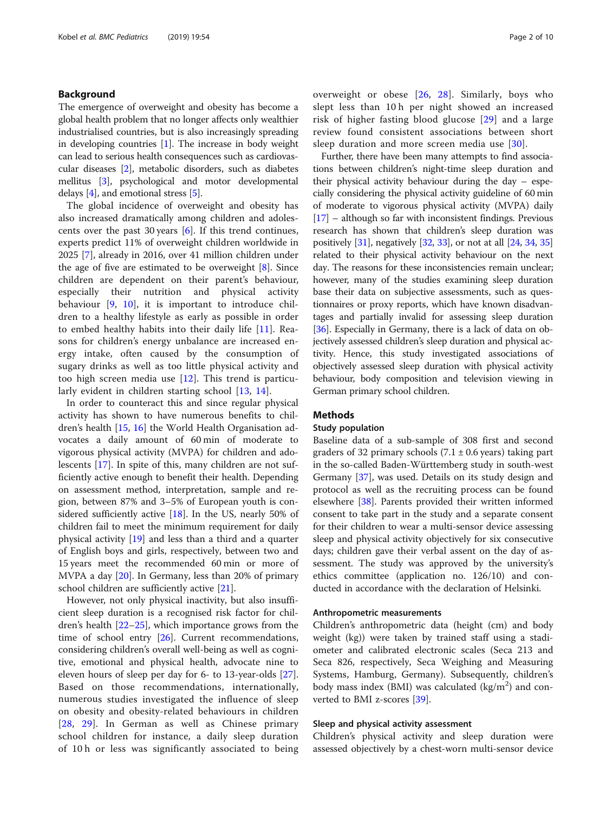# Background

The emergence of overweight and obesity has become a global health problem that no longer affects only wealthier industrialised countries, but is also increasingly spreading in developing countries [\[1](#page-7-0)]. The increase in body weight can lead to serious health consequences such as cardiovascular diseases [[2](#page-7-0)], metabolic disorders, such as diabetes mellitus [\[3\]](#page-7-0), psychological and motor developmental delays  $[4]$  $[4]$  $[4]$ , and emotional stress  $[5]$ .

The global incidence of overweight and obesity has also increased dramatically among children and adolescents over the past 30 years [\[6](#page-7-0)]. If this trend continues, experts predict 11% of overweight children worldwide in 2025 [[7\]](#page-7-0), already in 2016, over 41 million children under the age of five are estimated to be overweight [[8\]](#page-7-0). Since children are dependent on their parent's behaviour, especially their nutrition and physical activity behaviour [[9,](#page-7-0) [10\]](#page-7-0), it is important to introduce children to a healthy lifestyle as early as possible in order to embed healthy habits into their daily life [\[11](#page-7-0)]. Reasons for children's energy unbalance are increased energy intake, often caused by the consumption of sugary drinks as well as too little physical activity and too high screen media use [\[12](#page-7-0)]. This trend is particularly evident in children starting school [[13,](#page-7-0) [14\]](#page-7-0).

In order to counteract this and since regular physical activity has shown to have numerous benefits to children's health [[15,](#page-7-0) [16\]](#page-7-0) the World Health Organisation advocates a daily amount of 60 min of moderate to vigorous physical activity (MVPA) for children and adolescents [\[17](#page-7-0)]. In spite of this, many children are not sufficiently active enough to benefit their health. Depending on assessment method, interpretation, sample and region, between 87% and 3–5% of European youth is considered sufficiently active  $[18]$  $[18]$ . In the US, nearly 50% of children fail to meet the minimum requirement for daily physical activity [[19](#page-7-0)] and less than a third and a quarter of English boys and girls, respectively, between two and 15 years meet the recommended 60 min or more of MVPA a day [\[20](#page-7-0)]. In Germany, less than 20% of primary school children are sufficiently active [[21](#page-7-0)].

However, not only physical inactivity, but also insufficient sleep duration is a recognised risk factor for children's health [\[22](#page-7-0)–[25](#page-8-0)], which importance grows from the time of school entry [[26\]](#page-8-0). Current recommendations, considering children's overall well-being as well as cognitive, emotional and physical health, advocate nine to eleven hours of sleep per day for 6- to 13-year-olds [\[27](#page-8-0)]. Based on those recommendations, internationally, numerous studies investigated the influence of sleep on obesity and obesity-related behaviours in children [[28](#page-8-0), [29\]](#page-8-0). In German as well as Chinese primary school children for instance, a daily sleep duration of 10 h or less was significantly associated to being overweight or obese [\[26](#page-8-0), [28](#page-8-0)]. Similarly, boys who slept less than 10 h per night showed an increased risk of higher fasting blood glucose [[29\]](#page-8-0) and a large review found consistent associations between short sleep duration and more screen media use [[30](#page-8-0)].

Further, there have been many attempts to find associations between children's night-time sleep duration and their physical activity behaviour during the day – especially considering the physical activity guideline of 60 min of moderate to vigorous physical activity (MVPA) daily [[17](#page-7-0)] – although so far with inconsistent findings. Previous research has shown that children's sleep duration was positively [\[31\]](#page-8-0), negatively [\[32,](#page-8-0) [33](#page-8-0)], or not at all [[24](#page-8-0), [34,](#page-8-0) [35](#page-8-0)] related to their physical activity behaviour on the next day. The reasons for these inconsistencies remain unclear; however, many of the studies examining sleep duration base their data on subjective assessments, such as questionnaires or proxy reports, which have known disadvantages and partially invalid for assessing sleep duration [[36](#page-8-0)]. Especially in Germany, there is a lack of data on objectively assessed children's sleep duration and physical activity. Hence, this study investigated associations of objectively assessed sleep duration with physical activity behaviour, body composition and television viewing in German primary school children.

#### **Methods**

# Study population

Baseline data of a sub-sample of 308 first and second graders of 32 primary schools  $(7.1 \pm 0.6 \text{ years})$  taking part in the so-called Baden-Württemberg study in south-west Germany [\[37\]](#page-8-0), was used. Details on its study design and protocol as well as the recruiting process can be found elsewhere [[38](#page-8-0)]. Parents provided their written informed consent to take part in the study and a separate consent for their children to wear a multi-sensor device assessing sleep and physical activity objectively for six consecutive days; children gave their verbal assent on the day of assessment. The study was approved by the university's ethics committee (application no. 126/10) and conducted in accordance with the declaration of Helsinki.

# Anthropometric measurements

Children's anthropometric data (height (cm) and body weight (kg)) were taken by trained staff using a stadiometer and calibrated electronic scales (Seca 213 and Seca 826, respectively, Seca Weighing and Measuring Systems, Hamburg, Germany). Subsequently, children's body mass index (BMI) was calculated (kg/ $m<sup>2</sup>$ ) and converted to BMI z-scores [[39](#page-8-0)].

#### Sleep and physical activity assessment

Children's physical activity and sleep duration were assessed objectively by a chest-worn multi-sensor device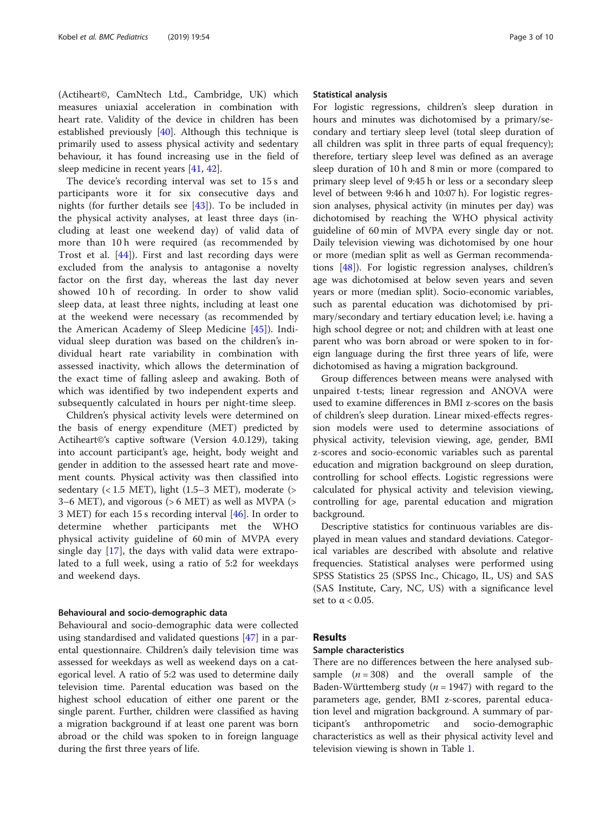(Actiheart©, CamNtech Ltd., Cambridge, UK) which measures uniaxial acceleration in combination with heart rate. Validity of the device in children has been established previously [[40\]](#page-8-0). Although this technique is primarily used to assess physical activity and sedentary behaviour, it has found increasing use in the field of sleep medicine in recent years [\[41](#page-8-0), [42\]](#page-8-0).

The device's recording interval was set to 15 s and participants wore it for six consecutive days and nights (for further details see [[43\]](#page-8-0)). To be included in the physical activity analyses, at least three days (including at least one weekend day) of valid data of more than 10 h were required (as recommended by Trost et al. [[44](#page-8-0)]). First and last recording days were excluded from the analysis to antagonise a novelty factor on the first day, whereas the last day never showed 10 h of recording. In order to show valid sleep data, at least three nights, including at least one at the weekend were necessary (as recommended by the American Academy of Sleep Medicine [\[45](#page-8-0)]). Individual sleep duration was based on the children's individual heart rate variability in combination with assessed inactivity, which allows the determination of the exact time of falling asleep and awaking. Both of which was identified by two independent experts and subsequently calculated in hours per night-time sleep.

Children's physical activity levels were determined on the basis of energy expenditure (MET) predicted by Actiheart©'s captive software (Version 4.0.129), taking into account participant's age, height, body weight and gender in addition to the assessed heart rate and movement counts. Physical activity was then classified into sedentary  $(< 1.5$  MET), light  $(1.5-3$  MET), moderate  $(>$ 3–6 MET), and vigorous (> 6 MET) as well as MVPA (> 3 MET) for each 15 s recording interval [[46\]](#page-8-0). In order to determine whether participants met the WHO physical activity guideline of 60 min of MVPA every single day [\[17](#page-7-0)], the days with valid data were extrapolated to a full week, using a ratio of 5:2 for weekdays and weekend days.

#### Behavioural and socio-demographic data

Behavioural and socio-demographic data were collected using standardised and validated questions [[47\]](#page-8-0) in a parental questionnaire. Children's daily television time was assessed for weekdays as well as weekend days on a categorical level. A ratio of 5:2 was used to determine daily television time. Parental education was based on the highest school education of either one parent or the single parent. Further, children were classified as having a migration background if at least one parent was born abroad or the child was spoken to in foreign language during the first three years of life.

#### Statistical analysis

For logistic regressions, children's sleep duration in hours and minutes was dichotomised by a primary/secondary and tertiary sleep level (total sleep duration of all children was split in three parts of equal frequency); therefore, tertiary sleep level was defined as an average sleep duration of 10 h and 8 min or more (compared to primary sleep level of 9:45 h or less or a secondary sleep level of between 9:46 h and 10:07 h). For logistic regression analyses, physical activity (in minutes per day) was dichotomised by reaching the WHO physical activity guideline of 60 min of MVPA every single day or not. Daily television viewing was dichotomised by one hour or more (median split as well as German recommendations [[48](#page-8-0)]). For logistic regression analyses, children's age was dichotomised at below seven years and seven years or more (median split). Socio-economic variables, such as parental education was dichotomised by primary/secondary and tertiary education level; i.e. having a high school degree or not; and children with at least one parent who was born abroad or were spoken to in foreign language during the first three years of life, were dichotomised as having a migration background.

Group differences between means were analysed with unpaired t-tests; linear regression and ANOVA were used to examine differences in BMI z-scores on the basis of children's sleep duration. Linear mixed-effects regression models were used to determine associations of physical activity, television viewing, age, gender, BMI z-scores and socio-economic variables such as parental education and migration background on sleep duration, controlling for school effects. Logistic regressions were calculated for physical activity and television viewing, controlling for age, parental education and migration background.

Descriptive statistics for continuous variables are displayed in mean values and standard deviations. Categorical variables are described with absolute and relative frequencies. Statistical analyses were performed using SPSS Statistics 25 (SPSS Inc., Chicago, IL, US) and SAS (SAS Institute, Cary, NC, US) with a significance level set to  $\alpha$  < 0.05.

# Results

#### Sample characteristics

There are no differences between the here analysed subsample  $(n = 308)$  and the overall sample of the Baden-Württemberg study ( $n = 1947$ ) with regard to the parameters age, gender, BMI z-scores, parental education level and migration background. A summary of participant's anthropometric and socio-demographic characteristics as well as their physical activity level and television viewing is shown in Table [1.](#page-3-0)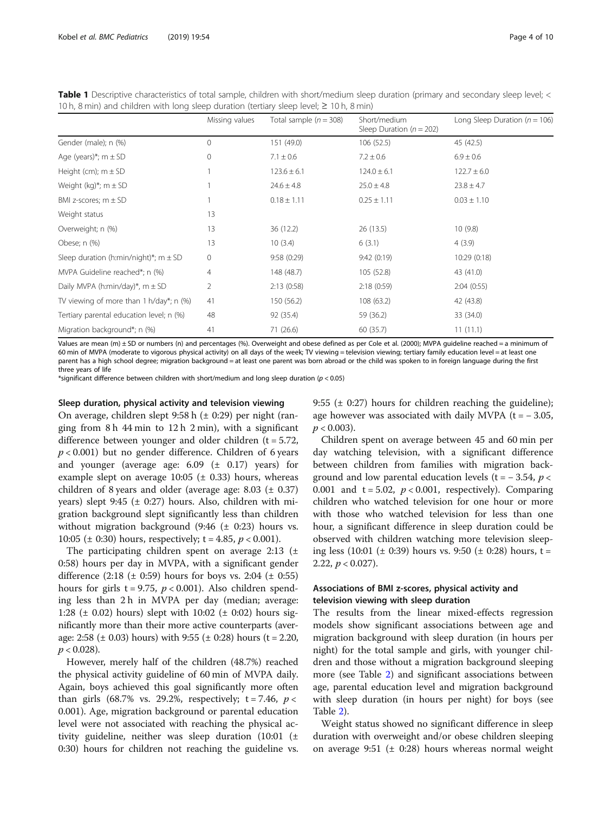| TUTI, 8 Mill) and children with long-sleep duration (tertiary sleep level; $\leq$ TUTI, 8 Mill) |                          |                                              |                                   |  |  |  |  |
|-------------------------------------------------------------------------------------------------|--------------------------|----------------------------------------------|-----------------------------------|--|--|--|--|
| Missing values                                                                                  | Total sample $(n = 308)$ | Short/medium<br>Sleep Duration ( $n = 202$ ) | Long Sleep Duration ( $n = 106$ ) |  |  |  |  |
| 0                                                                                               | 151 (49.0)               | 106(52.5)                                    | 45 (42.5)                         |  |  |  |  |
| $\mathcal{O}$                                                                                   | $7.1 \pm 0.6$            | $7.2 \pm 0.6$                                | $6.9 \pm 0.6$                     |  |  |  |  |
|                                                                                                 | $123.6 \pm 6.1$          | $124.0 \pm 6.1$                              | $122.7 \pm 6.0$                   |  |  |  |  |
|                                                                                                 | $24.6 \pm 4.8$           | $25.0 \pm 4.8$                               | $23.8 \pm 4.7$                    |  |  |  |  |
|                                                                                                 | $0.18 \pm 1.11$          | $0.25 \pm 1.11$                              | $0.03 \pm 1.10$                   |  |  |  |  |
| 13                                                                                              |                          |                                              |                                   |  |  |  |  |
| 13                                                                                              | 36 (12.2)                | 26(13.5)                                     | 10(9.8)                           |  |  |  |  |
| 13                                                                                              | 10(3.4)                  | 6(3.1)                                       | 4(3.9)                            |  |  |  |  |
| $\mathbf{0}$                                                                                    | 9:58(0:29)               | 9:42(0:19)                                   | 10:29 (0:18)                      |  |  |  |  |
| 4                                                                                               | 148 (48.7)               | 105 (52.8)                                   | 43 (41.0)                         |  |  |  |  |
| 2                                                                                               | 2:13(0:58)               | 2:18(0:59)                                   | 2:04(0:55)                        |  |  |  |  |
| 41                                                                                              | 150 (56.2)               | 108 (63.2)                                   | 42 (43.8)                         |  |  |  |  |
| 48                                                                                              | 92 (35.4)                | 59 (36.2)                                    | 33 (34.0)                         |  |  |  |  |
| 41                                                                                              | 71 (26.6)                | 60 (35.7)                                    | 11(11.1)                          |  |  |  |  |
|                                                                                                 |                          |                                              |                                   |  |  |  |  |

<span id="page-3-0"></span>Table 1 Descriptive characteristics of total sample, children with short/medium sleep duration (primary and secondary sleep level; < 10 h, 8 min) and children with long sleep duration (tertiary sleep level; ≥ 10 h, 8 min)

Values are mean (m) ± SD or numbers (n) and percentages (%). Overweight and obese defined as per Cole et al. (2000); MVPA guideline reached = a minimum of 60 min of MVPA (moderate to vigorous physical activity) on all days of the week; TV viewing = television viewing; tertiary family education level = at least one parent has a high school degree; migration background = at least one parent was born abroad or the child was spoken to in foreign language during the first three years of life

\*significant difference between children with short/medium and long sleep duration (p < 0.05)

#### Sleep duration, physical activity and television viewing

On average, children slept 9:58 h  $(\pm 0:29)$  per night (ranging from 8 h 44 min to 12 h 2 min), with a significant difference between younger and older children ( $t = 5.72$ ,  $p < 0.001$ ) but no gender difference. Children of 6 years and younger (average age:  $6.09 \text{ } (\pm \text{ } 0.17)$  years) for example slept on average  $10:05 \ (\pm 0.33)$  hours, whereas children of 8 years and older (average age:  $8.03 \pm 0.37$ ) years) slept 9:45 ( $\pm$  0:27) hours. Also, children with migration background slept significantly less than children without migration background (9:46  $(\pm 0:23)$  hours vs. 10:05 ( $\pm$  0:30) hours, respectively; t = 4.85,  $p < 0.001$ ).

The participating children spent on average 2:13  $(\pm$ 0:58) hours per day in MVPA, with a significant gender difference  $(2:18 \text{ } (\pm 0:59) \text{ hours for boys vs. } 2:04 \text{ } (\pm 0:55)$ hours for girls t = 9.75,  $p < 0.001$ ). Also children spending less than 2 h in MVPA per day (median; average: 1:28 ( $\pm$  0.02) hours) slept with 10:02 ( $\pm$  0:02) hours significantly more than their more active counterparts (average: 2:58 ( $\pm$  0.03) hours) with 9:55 ( $\pm$  0:28) hours (t = 2.20,  $p < 0.028$ ).

However, merely half of the children (48.7%) reached the physical activity guideline of 60 min of MVPA daily. Again, boys achieved this goal significantly more often than girls (68.7% vs. 29.2%, respectively;  $t = 7.46$ ,  $p <$ 0.001). Age, migration background or parental education level were not associated with reaching the physical activity guideline, neither was sleep duration (10:01 (± 0:30) hours for children not reaching the guideline vs. 9:55 ( $\pm$  0:27) hours for children reaching the guideline); age however was associated with daily MVPA ( $t = -3.05$ ,  $p < 0.003$ ).

Children spent on average between 45 and 60 min per day watching television, with a significant difference between children from families with migration background and low parental education levels (t =  $-3.54$ , p < 0.001 and  $t = 5.02$ ,  $p < 0.001$ , respectively). Comparing children who watched television for one hour or more with those who watched television for less than one hour, a significant difference in sleep duration could be observed with children watching more television sleeping less (10:01 ( $\pm$  0:39) hours vs. 9:50 ( $\pm$  0:28) hours, t = 2.22,  $p < 0.027$ ).

# Associations of BMI z-scores, physical activity and television viewing with sleep duration

The results from the linear mixed-effects regression models show significant associations between age and migration background with sleep duration (in hours per night) for the total sample and girls, with younger children and those without a migration background sleeping more (see Table [2](#page-4-0)) and significant associations between age, parental education level and migration background with sleep duration (in hours per night) for boys (see Table [2\)](#page-4-0).

Weight status showed no significant difference in sleep duration with overweight and/or obese children sleeping on average 9:51 ( $\pm$  0:28) hours whereas normal weight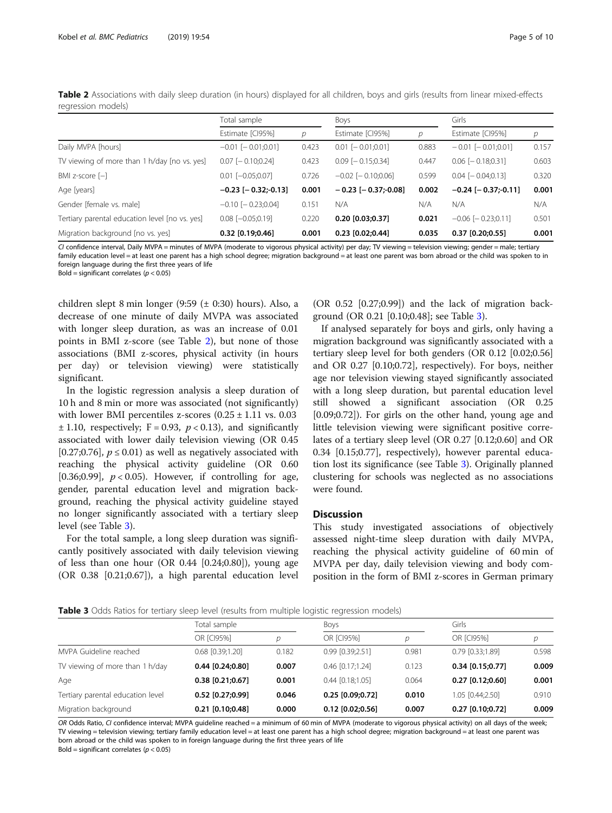|                                                | Total sample              |       | <b>Boys</b>               |       | Girls                     |       |
|------------------------------------------------|---------------------------|-------|---------------------------|-------|---------------------------|-------|
|                                                | Estimate [CI95%]          | D     | Estimate [CI95%]          | D     | Estimate [CI95%]          | р     |
| Daily MVPA [hours]                             | $-0.01$ [ $-0.01;0.01$ ]  | 0.423 | $0.01$ $[-0.01;0.01]$     | 0.883 | $-0.01$ [ $-0.01;0.01$ ]  | 0.157 |
| TV viewing of more than 1 h/day [no vs. yes]   | $0.07$ [ $-0.10;0.24$ ]   | 0.423 | $0.09$ [ $-0.15;0.34$ ]   | 0.447 | $0.06$ [ $-0.18;0.31$ ]   | 0.603 |
| BMI z-score $[-]$                              | $0.01$ $[-0.05;0.07]$     | 0.726 | $-0.02$ [ $-0.10;0.06$ ]  | 0.599 | $0.04$ $[-0.04;0.13]$     | 0.320 |
| Age [years]                                    | $-0.23$ [ $-0.32$ ;-0.13] | 0.001 | $-0.23$ [ $-0.37$ :-0.08] | 0.002 | $-0.24$ [ $-0.37$ ;-0.11] | 0.001 |
| Gender [female vs. male]                       | $-0.10$ [ $-0.23;0.04$ ]  | 0.151 | N/A                       | N/A   | N/A                       | N/A   |
| Tertiary parental education level [no vs. yes] | $0.08$ $[-0.05;0.19]$     | 0.220 | $0.20$ [0.03;0.37]        | 0.021 | $-0.06$ [ $-0.23;0.11$ ]  | 0.501 |
| Migration background [no vs. yes]              | $0.32$ [0.19;0.46]        | 0.001 | $0.23$ [0.02;0.44]        | 0.035 | $0.37$ [0.20;0.55]        | 0.001 |

<span id="page-4-0"></span>Table 2 Associations with daily sleep duration (in hours) displayed for all children, boys and girls (results from linear mixed-effects regression models)

CI confidence interval, Daily MVPA = minutes of MVPA (moderate to vigorous physical activity) per day; TV viewing = television viewing; gender = male; tertiary family education level = at least one parent has a high school degree; migration background = at least one parent was born abroad or the child was spoken to in foreign language during the first three years of life

Bold = significant correlates ( $p < 0.05$ )

children slept 8 min longer (9:59 (± 0:30) hours). Also, a decrease of one minute of daily MVPA was associated with longer sleep duration, as was an increase of 0.01 points in BMI z-score (see Table 2), but none of those associations (BMI z-scores, physical activity (in hours per day) or television viewing) were statistically significant.

In the logistic regression analysis a sleep duration of 10 h and 8 min or more was associated (not significantly) with lower BMI percentiles z-scores  $(0.25 \pm 1.11 \text{ vs. } 0.03$  $\pm$  1.10, respectively; F = 0.93, p < 0.13), and significantly associated with lower daily television viewing (OR 0.45 [0.27;0.76],  $p \le 0.01$ ) as well as negatively associated with reaching the physical activity guideline (OR 0.60 [0.36;0.99],  $p < 0.05$ ). However, if controlling for age, gender, parental education level and migration background, reaching the physical activity guideline stayed no longer significantly associated with a tertiary sleep level (see Table 3).

For the total sample, a long sleep duration was significantly positively associated with daily television viewing of less than one hour  $(OR\ 0.44\ [0.24;0.80])$ , young age (OR 0.38 [0.21;0.67]), a high parental education level

 $(OR$   $0.52$   $[0.27;0.99]$  and the lack of migration background (OR 0.21 [0.10;0.48]; see Table 3).

If analysed separately for boys and girls, only having a migration background was significantly associated with a tertiary sleep level for both genders (OR 0.12 [0.02;0.56] and OR 0.27 [0.10;0.72], respectively). For boys, neither age nor television viewing stayed significantly associated with a long sleep duration, but parental education level still showed a significant association (OR 0.25 [0.09;0.72]). For girls on the other hand, young age and little television viewing were significant positive correlates of a tertiary sleep level (OR 0.27 [0.12;0.60] and OR 0.34 [0.15;0.77], respectively), however parental education lost its significance (see Table 3). Originally planned clustering for schools was neglected as no associations were found.

### **Discussion**

This study investigated associations of objectively assessed night-time sleep duration with daily MVPA, reaching the physical activity guideline of 60 min of MVPA per day, daily television viewing and body composition in the form of BMI z-scores in German primary

**Table 3** Odds Ratios for tertiary sleep level (results from multiple logistic regression models)

|                                   | Total sample         |       | <b>Boys</b>          |       | Girls                |       |
|-----------------------------------|----------------------|-------|----------------------|-------|----------------------|-------|
|                                   | OR [CI95%]           | n     | OR [CI95%]           | D     | OR [CI95%]           | D     |
| MVPA Guideline reached            | $0.68$ $[0.39;1.20]$ | 0.182 | $0.99$ $[0.39;2.51]$ | 0.981 | $0.79$ $[0.33;1.89]$ | 0.598 |
| TV viewing of more than 1 h/day   | $0.44$ [0.24;0.80]   | 0.007 | $0.46$ $[0.17;1.24]$ | 0.123 | $0.34$ [0.15;0.77]   | 0.009 |
| Age                               | $0.38$ [0.21;0.67]   | 0.001 | $0.44$ $[0.18;1.05]$ | 0.064 | $0.27$ [0.12;0.60]   | 0.001 |
| Tertiary parental education level | $0.52$ [0.27;0.99]   | 0.046 | $0.25$ [0.09;0.72]   | 0.010 | 1.05 [0.44;2.50]     | 0.910 |
| Migration background              | $0.21$ [0.10;0.48]   | 0.000 | $0.12$ [0.02;0.56]   | 0.007 | $0.27$ [0.10;0.72]   | 0.009 |

OR Odds Ratio, CI confidence interval; MVPA guideline reached = a minimum of 60 min of MVPA (moderate to vigorous physical activity) on all days of the week; TV viewing = television viewing; tertiary family education level = at least one parent has a high school degree; migration background = at least one parent was born abroad or the child was spoken to in foreign language during the first three years of life

Bold = significant correlates ( $p < 0.05$ )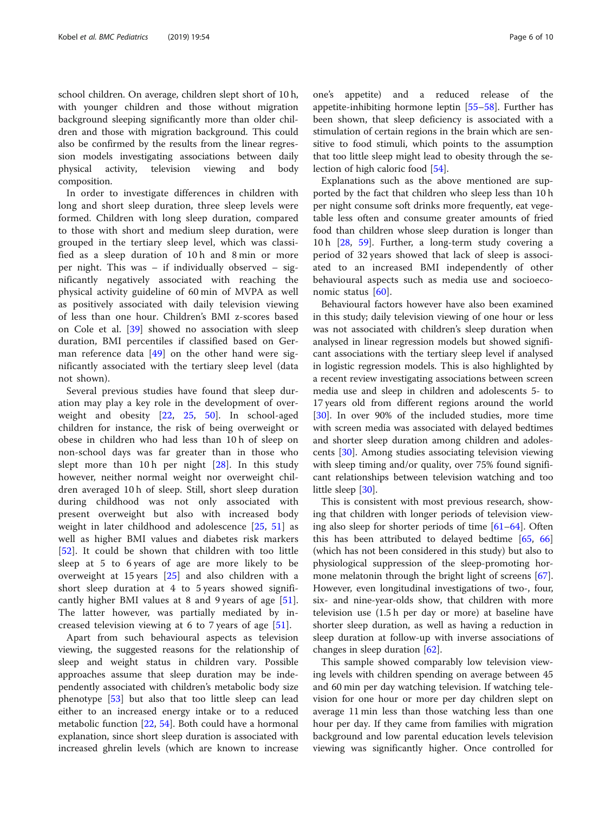school children. On average, children slept short of 10 h, with younger children and those without migration background sleeping significantly more than older children and those with migration background. This could also be confirmed by the results from the linear regression models investigating associations between daily physical activity, television viewing and body composition.

In order to investigate differences in children with long and short sleep duration, three sleep levels were formed. Children with long sleep duration, compared to those with short and medium sleep duration, were grouped in the tertiary sleep level, which was classified as a sleep duration of 10 h and 8 min or more per night. This was – if individually observed – significantly negatively associated with reaching the physical activity guideline of 60 min of MVPA as well as positively associated with daily television viewing of less than one hour. Children's BMI z-scores based on Cole et al. [\[39](#page-8-0)] showed no association with sleep duration, BMI percentiles if classified based on German reference data  $[49]$  $[49]$  $[49]$  on the other hand were significantly associated with the tertiary sleep level (data not shown).

Several previous studies have found that sleep duration may play a key role in the development of overweight and obesity [[22,](#page-7-0) [25,](#page-8-0) [50](#page-8-0)]. In school-aged children for instance, the risk of being overweight or obese in children who had less than 10 h of sleep on non-school days was far greater than in those who slept more than  $10 h$  per night  $[28]$  $[28]$ . In this study however, neither normal weight nor overweight children averaged 10 h of sleep. Still, short sleep duration during childhood was not only associated with present overweight but also with increased body weight in later childhood and adolescence [[25,](#page-8-0) [51](#page-8-0)] as well as higher BMI values and diabetes risk markers [[52\]](#page-8-0). It could be shown that children with too little sleep at 5 to 6 years of age are more likely to be overweight at 15 years [\[25](#page-8-0)] and also children with a short sleep duration at 4 to 5 years showed significantly higher BMI values at 8 and 9 years of age [\[51](#page-8-0)]. The latter however, was partially mediated by increased television viewing at 6 to 7 years of age  $[51]$  $[51]$ .

Apart from such behavioural aspects as television viewing, the suggested reasons for the relationship of sleep and weight status in children vary. Possible approaches assume that sleep duration may be independently associated with children's metabolic body size phenotype [[53\]](#page-8-0) but also that too little sleep can lead either to an increased energy intake or to a reduced metabolic function [\[22](#page-7-0), [54](#page-8-0)]. Both could have a hormonal explanation, since short sleep duration is associated with increased ghrelin levels (which are known to increase one's appetite) and a reduced release of the appetite-inhibiting hormone leptin [[55](#page-8-0)–[58](#page-8-0)]. Further has been shown, that sleep deficiency is associated with a stimulation of certain regions in the brain which are sensitive to food stimuli, which points to the assumption that too little sleep might lead to obesity through the selection of high caloric food [[54\]](#page-8-0).

Explanations such as the above mentioned are supported by the fact that children who sleep less than 10 h per night consume soft drinks more frequently, eat vegetable less often and consume greater amounts of fried food than children whose sleep duration is longer than 10 h [[28,](#page-8-0) [59\]](#page-8-0). Further, a long-term study covering a period of 32 years showed that lack of sleep is associated to an increased BMI independently of other behavioural aspects such as media use and socioeconomic status [[60](#page-8-0)].

Behavioural factors however have also been examined in this study; daily television viewing of one hour or less was not associated with children's sleep duration when analysed in linear regression models but showed significant associations with the tertiary sleep level if analysed in logistic regression models. This is also highlighted by a recent review investigating associations between screen media use and sleep in children and adolescents 5- to 17 years old from different regions around the world [[30\]](#page-8-0). In over 90% of the included studies, more time with screen media was associated with delayed bedtimes and shorter sleep duration among children and adolescents [[30\]](#page-8-0). Among studies associating television viewing with sleep timing and/or quality, over 75% found significant relationships between television watching and too little sleep [[30](#page-8-0)].

This is consistent with most previous research, showing that children with longer periods of television viewing also sleep for shorter periods of time [[61](#page-8-0)–[64](#page-8-0)]. Often this has been attributed to delayed bedtime [[65,](#page-8-0) [66](#page-8-0)] (which has not been considered in this study) but also to physiological suppression of the sleep-promoting hormone melatonin through the bright light of screens [\[67](#page-8-0)]. However, even longitudinal investigations of two-, four, six- and nine-year-olds show, that children with more television use (1.5 h per day or more) at baseline have shorter sleep duration, as well as having a reduction in sleep duration at follow-up with inverse associations of changes in sleep duration [\[62](#page-8-0)].

This sample showed comparably low television viewing levels with children spending on average between 45 and 60 min per day watching television. If watching television for one hour or more per day children slept on average 11 min less than those watching less than one hour per day. If they came from families with migration background and low parental education levels television viewing was significantly higher. Once controlled for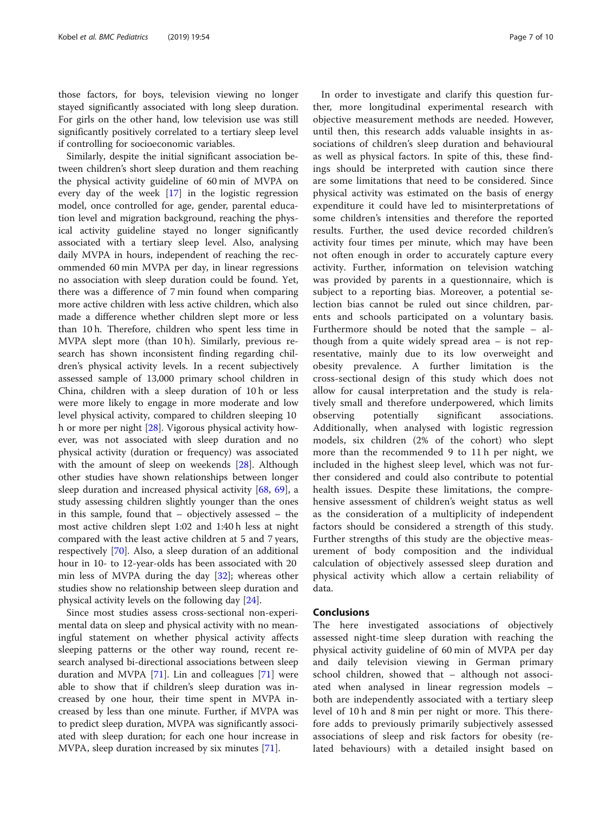those factors, for boys, television viewing no longer stayed significantly associated with long sleep duration. For girls on the other hand, low television use was still significantly positively correlated to a tertiary sleep level if controlling for socioeconomic variables.

Similarly, despite the initial significant association between children's short sleep duration and them reaching the physical activity guideline of 60 min of MVPA on every day of the week [\[17](#page-7-0)] in the logistic regression model, once controlled for age, gender, parental education level and migration background, reaching the physical activity guideline stayed no longer significantly associated with a tertiary sleep level. Also, analysing daily MVPA in hours, independent of reaching the recommended 60 min MVPA per day, in linear regressions no association with sleep duration could be found. Yet, there was a difference of 7 min found when comparing more active children with less active children, which also made a difference whether children slept more or less than 10 h. Therefore, children who spent less time in MVPA slept more (than 10 h). Similarly, previous research has shown inconsistent finding regarding children's physical activity levels. In a recent subjectively assessed sample of 13,000 primary school children in China, children with a sleep duration of 10 h or less were more likely to engage in more moderate and low level physical activity, compared to children sleeping 10 h or more per night [\[28](#page-8-0)]. Vigorous physical activity however, was not associated with sleep duration and no physical activity (duration or frequency) was associated with the amount of sleep on weekends [\[28](#page-8-0)]. Although other studies have shown relationships between longer sleep duration and increased physical activity [[68,](#page-8-0) [69](#page-9-0)], a study assessing children slightly younger than the ones in this sample, found that – objectively assessed – the most active children slept 1:02 and 1:40 h less at night compared with the least active children at 5 and 7 years, respectively [\[70\]](#page-9-0). Also, a sleep duration of an additional hour in 10- to 12-year-olds has been associated with 20 min less of MVPA during the day [[32\]](#page-8-0); whereas other studies show no relationship between sleep duration and physical activity levels on the following day [[24\]](#page-8-0).

Since most studies assess cross-sectional non-experimental data on sleep and physical activity with no meaningful statement on whether physical activity affects sleeping patterns or the other way round, recent research analysed bi-directional associations between sleep duration and MVPA [[71](#page-9-0)]. Lin and colleagues [\[71](#page-9-0)] were able to show that if children's sleep duration was increased by one hour, their time spent in MVPA increased by less than one minute. Further, if MVPA was to predict sleep duration, MVPA was significantly associated with sleep duration; for each one hour increase in MVPA, sleep duration increased by six minutes [[71\]](#page-9-0).

In order to investigate and clarify this question further, more longitudinal experimental research with objective measurement methods are needed. However, until then, this research adds valuable insights in associations of children's sleep duration and behavioural as well as physical factors. In spite of this, these findings should be interpreted with caution since there are some limitations that need to be considered. Since physical activity was estimated on the basis of energy expenditure it could have led to misinterpretations of some children's intensities and therefore the reported results. Further, the used device recorded children's activity four times per minute, which may have been not often enough in order to accurately capture every activity. Further, information on television watching was provided by parents in a questionnaire, which is subject to a reporting bias. Moreover, a potential selection bias cannot be ruled out since children, parents and schools participated on a voluntary basis. Furthermore should be noted that the sample – although from a quite widely spread area – is not representative, mainly due to its low overweight and obesity prevalence. A further limitation is the cross-sectional design of this study which does not allow for causal interpretation and the study is relatively small and therefore underpowered, which limits observing potentially significant associations. Additionally, when analysed with logistic regression models, six children (2% of the cohort) who slept more than the recommended 9 to 11 h per night, we included in the highest sleep level, which was not further considered and could also contribute to potential health issues. Despite these limitations, the comprehensive assessment of children's weight status as well as the consideration of a multiplicity of independent factors should be considered a strength of this study. Further strengths of this study are the objective measurement of body composition and the individual calculation of objectively assessed sleep duration and physical activity which allow a certain reliability of data.

# **Conclusions**

The here investigated associations of objectively assessed night-time sleep duration with reaching the physical activity guideline of 60 min of MVPA per day and daily television viewing in German primary school children, showed that – although not associated when analysed in linear regression models – both are independently associated with a tertiary sleep level of 10 h and 8 min per night or more. This therefore adds to previously primarily subjectively assessed associations of sleep and risk factors for obesity (related behaviours) with a detailed insight based on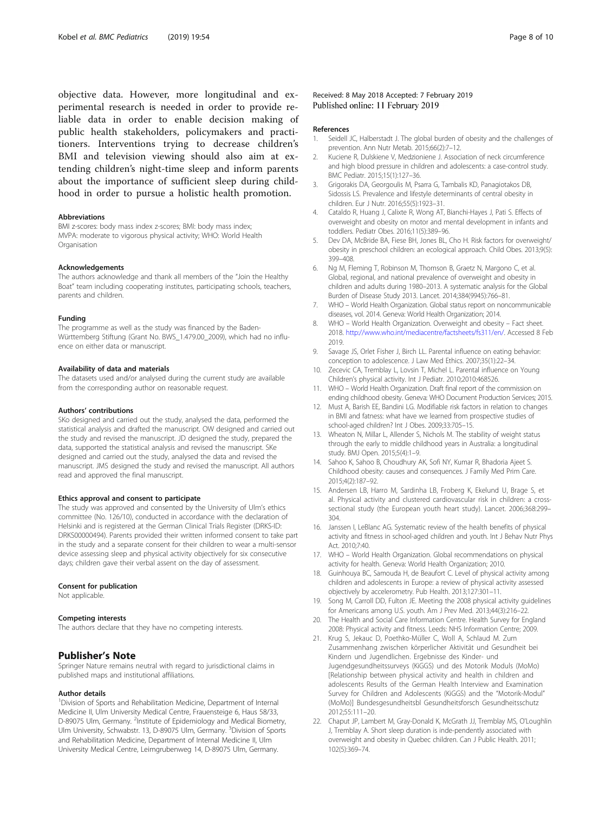<span id="page-7-0"></span>objective data. However, more longitudinal and experimental research is needed in order to provide reliable data in order to enable decision making of public health stakeholders, policymakers and practitioners. Interventions trying to decrease children's BMI and television viewing should also aim at extending children's night-time sleep and inform parents about the importance of sufficient sleep during childhood in order to pursue a holistic health promotion.

#### Abbreviations

BMI z-scores: body mass index z-scores; BMI: body mass index; MVPA: moderate to vigorous physical activity; WHO: World Health **Organisation** 

#### Acknowledgements

The authors acknowledge and thank all members of the "Join the Healthy Boat" team including cooperating institutes, participating schools, teachers, parents and children.

#### Funding

The programme as well as the study was financed by the Baden-Württemberg Stiftung (Grant No. BWS\_1.479.00\_2009), which had no influence on either data or manuscript.

#### Availability of data and materials

The datasets used and/or analysed during the current study are available from the corresponding author on reasonable request.

#### Authors' contributions

SKo designed and carried out the study, analysed the data, performed the statistical analysis and drafted the manuscript. OW designed and carried out the study and revised the manuscript. JD designed the study, prepared the data, supported the statistical analysis and revised the manuscript. SKe designed and carried out the study, analysed the data and revised the manuscript. JMS designed the study and revised the manuscript. All authors read and approved the final manuscript.

#### Ethics approval and consent to participate

The study was approved and consented by the University of Ulm's ethics committee (No. 126/10), conducted in accordance with the declaration of Helsinki and is registered at the German Clinical Trials Register (DRKS-ID: DRKS00000494). Parents provided their written informed consent to take part in the study and a separate consent for their children to wear a multi-sensor device assessing sleep and physical activity objectively for six consecutive days; children gave their verbal assent on the day of assessment.

#### Consent for publication

Not applicable.

#### Competing interests

The authors declare that they have no competing interests.

### Publisher's Note

Springer Nature remains neutral with regard to jurisdictional claims in published maps and institutional affiliations.

#### Author details

<sup>1</sup> Division of Sports and Rehabilitation Medicine, Department of Internal Medicine II, Ulm University Medical Centre, Frauensteige 6, Haus 58/33, D-89075 Ulm, Germany. <sup>2</sup>Institute of Epidemiology and Medical Biometry, Ulm University, Schwabstr. 13, D-89075 Ulm, Germany. <sup>3</sup>Division of Sports and Rehabilitation Medicine, Department of Internal Medicine II, Ulm University Medical Centre, Leimgrubenweg 14, D-89075 Ulm, Germany.

#### Received: 8 May 2018 Accepted: 7 February 2019 Published online: 11 February 2019

#### References

- 1. Seidell JC, Halberstadt J. The global burden of obesity and the challenges of prevention. Ann Nutr Metab. 2015;66(2):7–12.
- 2. Kuciene R, Dulskiene V, Medzioniene J. Association of neck circumference and high blood pressure in children and adolescents: a case-control study. BMC Pediatr. 2015;15(1):127–36.
- 3. Grigorakis DA, Georgoulis M, Psarra G, Tambalis KD, Panagiotakos DB, Sidossis LS. Prevalence and lifestyle determinants of central obesity in children. Eur J Nutr. 2016;55(5):1923–31.
- 4. Cataldo R, Huang J, Calixte R, Wong AT, Bianchi-Hayes J, Pati S. Effects of overweight and obesity on motor and mental development in infants and toddlers. Pediatr Obes. 2016;11(5):389–96.
- 5. Dev DA, McBride BA, Fiese BH, Jones BL, Cho H. Risk factors for overweight/ obesity in preschool children: an ecological approach. Child Obes. 2013;9(5): 399–408.
- 6. Ng M, Fleming T, Robinson M, Thomson B, Graetz N, Margono C, et al. Global, regional, and national prevalence of overweight and obesity in children and adults during 1980–2013. A systematic analysis for the Global Burden of Disease Study 2013. Lancet. 2014;384(9945):766–81.
- 7. WHO World Health Organization. Global status report on noncommunicable diseases, vol. 2014. Geneva: World Health Organization; 2014.
- 8. WHO World Health Organization. Overweight and obesity Fact sheet. 2018. [http://www.who.int/mediacentre/factsheets/fs311/en/.](http://www.who.int/mediacentre/factsheets/fs311/en/) Accessed 8 Feb 2019.
- 9. Savage JS, Orlet Fisher J, Birch LL. Parental influence on eating behavior: conception to adolescence. J Law Med Ethics. 2007;35(1):22–34.
- 10. Zecevic CA, Tremblay L, Lovsin T, Michel L. Parental influence on Young Children's physical activity. Int J Pediatr. 2010;2010:468526.
- 11. WHO World Health Organization. Draft final report of the commission on ending childhood obesity. Geneva: WHO Document Production Services; 2015.
- 12. Must A, Barish EE, Bandini LG. Modifiable risk factors in relation to changes in BMI and fatness: what have we learned from prospective studies of school-aged children? Int J Obes. 2009;33:705–15.
- 13. Wheaton N, Millar L, Allender S, Nichols M. The stability of weight status through the early to middle childhood years in Australia: a longitudinal study. BMJ Open. 2015;5(4):1–9.
- 14. Sahoo K, Sahoo B, Choudhury AK, Sofi NY, Kumar R, Bhadoria Ajeet S. Childhood obesity: causes and consequences. J Family Med Prim Care. 2015;4(2):187–92.
- 15. Andersen LB, Harro M, Sardinha LB, Froberg K, Ekelund U, Brage S, et al. Physical activity and clustered cardiovascular risk in children: a crosssectional study (the European youth heart study). Lancet. 2006;368:299– 304.
- 16. Janssen I, LeBlanc AG. Systematic review of the health benefits of physical activity and fitness in school-aged children and youth. Int J Behav Nutr Phys Act. 2010;7:40.
- 17. WHO World Health Organization. Global recommendations on physical activity for health. Geneva: World Health Organization; 2010.
- 18. Guinhouya BC, Samouda H, de Beaufort C. Level of physical activity among children and adolescents in Europe: a review of physical activity assessed objectively by accelerometry. Pub Health. 2013;127:301–11.
- 19. Song M, Carroll DD, Fulton JE. Meeting the 2008 physical activity guidelines for Americans among U.S. youth. Am J Prev Med. 2013;44(3):216–22.
- 20. The Health and Social Care Information Centre. Health Survey for England 2008: Physical activity and fitness. Leeds: NHS Information Centre; 2009.
- 21. Krug S, Jekauc D, Poethko-Müller C, Woll A, Schlaud M. Zum Zusammenhang zwischen körperlicher Aktivität und Gesundheit bei Kindern und Jugendlichen. Ergebnisse des Kinder- und Jugendgesundheitssurveys (KiGGS) und des Motorik Moduls (MoMo) [Relationship between physical activity and health in children and adolescents Results of the German Health Interview and Examination Survey for Children and Adolescents (KiGGS) and the "Motorik-Modul" (MoMo)] Bundesgesundheitsbl Gesundheitsforsch Gesundheitsschutz 2012;55:111–20.
- 22. Chaput JP, Lambert M, Gray-Donald K, McGrath JJ, Tremblay MS, O'Loughlin J, Tremblay A. Short sleep duration is inde-pendently associated with overweight and obesity in Quebec children. Can J Public Health. 2011; 102(5):369–74.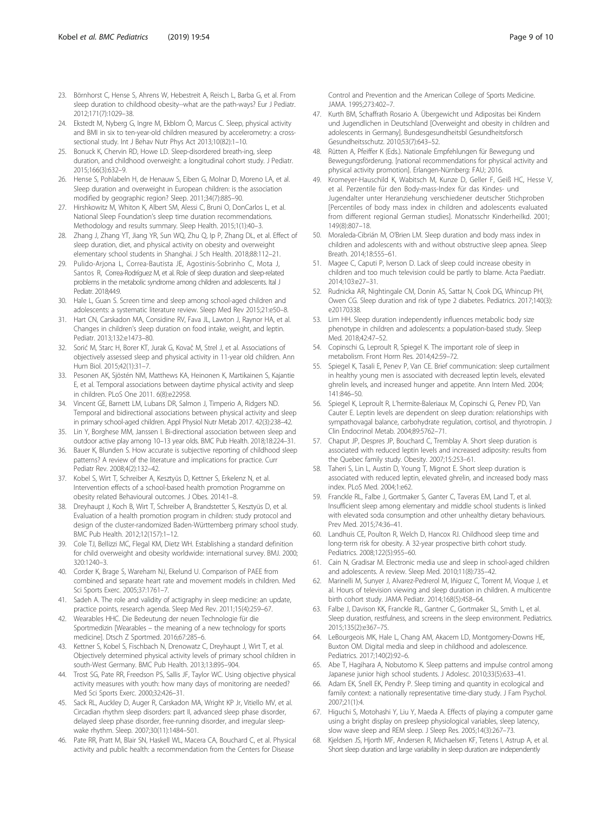- <span id="page-8-0"></span>23. Börnhorst C, Hense S, Ahrens W, Hebestreit A, Reisch L, Barba G, et al. From sleep duration to childhood obesity--what are the path-ways? Eur J Pediatr. 2012;171(7):1029–38.
- 24. Ekstedt M, Nyberg G, Ingre M, Ekblom Ö, Marcus C. Sleep, physical activity and BMI in six to ten-year-old children measured by accelerometry: a crosssectional study. Int J Behav Nutr Phys Act 2013;10(82):1–10.
- 25. Bonuck K, Chervin RD, Howe LD. Sleep-disordered breath-ing, sleep duration, and childhood overweight: a longitudinal cohort study. J Pediatr. 2015;166(3):632–9.
- 26. Hense S, Pohlabeln H, de Henauw S, Eiben G, Molnar D, Moreno LA, et al. Sleep duration and overweight in European children: is the association modified by geographic region? Sleep. 2011;34(7):885–90.
- 27. Hirshkowitz M, Whiton K, Albert SM, Alessi C, Bruni O, DonCarlos L, et al. National Sleep Foundation's sleep time duration recommendations. Methodology and results summary. Sleep Health. 2015;1(1):40–3.
- 28. Zhang J, Zhang YT, Jiang YR, Sun WQ, Zhu Q, Ip P, Zhang DL, et al. Effect of sleep duration, diet, and physical activity on obesity and overweight elementary school students in Shanghai. J Sch Health. 2018;88:112–21.
- 29. Pulido-Arjona L, Correa-Bautista JE, Agostinis-Sobrinho C, Mota J, Santos R, Correa-Rodríguez M, et al. Role of sleep duration and sleep-related problems in the metabolic syndrome among children and adolescents. Ital J Pediatr. 2018;44:9.
- 30. Hale L, Guan S. Screen time and sleep among school-aged children and adolescents: a systematic literature review. Sleep Med Rev 2015;21:e50–8.
- 31. Hart CN, Carskadon MA, Considine RV, Fava JL, Lawton J, Raynor HA, et al. Changes in children's sleep duration on food intake, weight, and leptin. Pediatr. 2013;132:e1473–80.
- 32. Sorić M, Starc H, Borer KT, Jurak G, Kovač M, Strel J, et al. Associations of objectively assessed sleep and physical activity in 11-year old children. Ann Hum Biol. 2015;42(1):31–7.
- 33. Pesonen AK, Sjöstén NM, Matthews KA, Heinonen K, Martikainen S, Kajantie E, et al. Temporal associations between daytime physical activity and sleep in children. PLoS One 2011. 6(8):e22958.
- 34. Vincent GE, Barnett LM, Lubans DR, Salmon J, Timperio A, Ridgers ND. Temporal and bidirectional associations between physical activity and sleep in primary school-aged children. Appl Physiol Nutr Metab 2017. 42(3):238–42.
- 35. Lin Y, Borghese MM, Janssen I. Bi-directional association between sleep and outdoor active play among 10–13 year olds. BMC Pub Health. 2018;18:224–31.
- 36. Bauer K, Blunden S. How accurate is subjective reporting of childhood sleep patterns? A review of the literature and implications for practice. Curr Pediatr Rev. 2008;4(2):132–42.
- 37. Kobel S, Wirt T, Schreiber A, Kesztyüs D, Kettner S, Erkelenz N, et al. Intervention effects of a school-based health promotion Programme on obesity related Behavioural outcomes. J Obes. 2014:1–8.
- 38. Dreyhaupt J, Koch B, Wirt T, Schreiber A, Brandstetter S, Kesztyüs D, et al. Evaluation of a health promotion program in children: study protocol and design of the cluster-randomized Baden-Württemberg primary school study. BMC Pub Health. 2012;12(157):1–12.
- 39. Cole TJ, Bellizzi MC, Flegal KM, Dietz WH. Establishing a standard definition for child overweight and obesity worldwide: international survey. BMJ. 2000; 320:1240–3.
- 40. Corder K, Brage S, Wareham NJ, Ekelund U. Comparison of PAEE from combined and separate heart rate and movement models in children. Med Sci Sports Exerc. 2005;37:1761–7.
- 41. Sadeh A. The role and validity of actigraphy in sleep medicine: an update, practice points, research agenda. Sleep Med Rev. 2011;15(4):259–67.
- 42. Wearables HHC. Die Bedeutung der neuen Technologie für die Sportmedizin [Wearables – the meaning of a new technology for sports medicine]. Dtsch Z Sportmed. 2016;67:285–6.
- 43. Kettner S, Kobel S, Fischbach N, Drenowatz C, Dreyhaupt J, Wirt T, et al. Objectively determined physical activity levels of primary school children in south-West Germany. BMC Pub Health. 2013;13:895–904.
- 44. Trost SG, Pate RR, Freedson PS, Sallis JF, Taylor WC. Using objective physical activity measures with youth: how many days of monitoring are needed? Med Sci Sports Exerc. 2000;32:426–31.
- 45. Sack RL, Auckley D, Auger R, Carskadon MA, Wright KP Jr, Vitiello MV, et al. Circadian rhythm sleep disorders: part II, advanced sleep phase disorder, delayed sleep phase disorder, free-running disorder, and irregular sleepwake rhythm. Sleep. 2007;30(11):1484–501.
- 46. Pate RR, Pratt M, Blair SN, Haskell WL, Macera CA, Bouchard C, et al. Physical activity and public health: a recommendation from the Centers for Disease

Control and Prevention and the American College of Sports Medicine. JAMA. 1995;273:402–7.

- 47. Kurth BM, Schaffrath Rosario A. Übergewicht und Adipositas bei Kindern und Jugendlichen in Deutschland [Overweight and obesity in children and adolescents in Germany]. Bundesgesundheitsbl Gesundheitsforsch Gesundheitsschutz. 2010;53(7):643–52.
- Rütten A, Pfeiffer K (Eds.). Nationale Empfehlungen für Bewegung und Bewegungsförderung. [national recommendations for physical activity and physical activity promotion]. Erlangen-Nürnberg: FAU; 2016.
- 49. Kromeyer-Hauschild K, Wabitsch M, Kunze D, Geller F, Geiß HC, Hesse V, et al. Perzentile für den Body-mass-Index für das Kindes- und Jugendalter unter Heranziehung verschiedener deutscher Stichproben [Percentiles of body mass index in children and adolescents evaluated from different regional German studies]. Monatsschr Kinderheilkd. 2001; 149(8):807–18.
- 50. Moraleda-Cibrián M, O'Brien LM. Sleep duration and body mass index in children and adolescents with and without obstructive sleep apnea. Sleep Breath. 2014;18:555–61.
- 51. Magee C, Caputi P, Iverson D. Lack of sleep could increase obesity in children and too much television could be partly to blame. Acta Paediatr. 2014;103:e27–31.
- 52. Rudnicka AR, Nightingale CM, Donin AS, Sattar N, Cook DG, Whincup PH, Owen CG. Sleep duration and risk of type 2 diabetes. Pediatrics. 2017;140(3): e20170338.
- 53. Lim HH. Sleep duration independently influences metabolic body size phenotype in children and adolescents: a population-based study. Sleep Med. 2018;42:47–52.
- 54. Copinschi G, Leproult R, Spiegel K. The important role of sleep in metabolism. Front Horm Res. 2014;42:59–72.
- 55. Spiegel K, Tasali E, Penev P, Van CE. Brief communication: sleep curtailment in healthy young men is associated with decreased leptin levels, elevated ghrelin levels, and increased hunger and appetite. Ann Intern Med. 2004; 141:846–50.
- 56. Spiegel K, Leproult R, L'hermite-Baleriaux M, Copinschi G, Penev PD, Van Cauter E. Leptin levels are dependent on sleep duration: relationships with sympathovagal balance, carbohydrate regulation, cortisol, and thyrotropin. J Clin Endocrinol Metab. 2004;89:5762–71.
- 57. Chaput JP, Despres JP, Bouchard C, Tremblay A. Short sleep duration is associated with reduced leptin levels and increased adiposity: results from the Quebec family study. Obesity. 2007;15:253–61.
- 58. Taheri S, Lin L, Austin D, Young T, Mignot E. Short sleep duration is associated with reduced leptin, elevated ghrelin, and increased body mass index. PLoS Med. 2004;1:e62.
- 59. Franckle RL, Falbe J, Gortmaker S, Ganter C, Taveras EM, Land T, et al. Insufficient sleep among elementary and middle school students is linked with elevated soda consumption and other unhealthy dietary behaviours. Prev Med. 2015;74:36–41.
- 60. Landhuis CE, Poulton R, Welch D, Hancox RJ. Childhood sleep time and long-term risk for obesity. A 32-year prospective birth cohort study. Pediatrics. 2008;122(5):955–60.
- 61. Cain N, Gradisar M. Electronic media use and sleep in school-aged children and adolescents. A review. Sleep Med. 2010;11(8):735–42.
- 62. Marinelli M, Sunyer J, Alvarez-Pedrerol M, Iñiguez C, Torrent M, Vioque J, et al. Hours of television viewing and sleep duration in children. A multicentre birth cohort study. JAMA Pediatr. 2014;168(5):458–64.
- 63. Falbe J, Davison KK, Franckle RL, Gantner C, Gortmaker SL, Smith L, et al. Sleep duration, restfulness, and screens in the sleep environment. Pediatrics. 2015;135(2):e367–75.
- 64. LeBourgeois MK, Hale L, Chang AM, Akacem LD, Montgomery-Downs HE, Buxton OM. Digital media and sleep in childhood and adolescence. Pediatrics. 2017;140(2):92–6.
- 65. Abe T, Hagihara A, Nobutomo K. Sleep patterns and impulse control among Japanese junior high school students. J Adolesc. 2010;33(5):633–41.
- 66. Adam EK, Snell EK, Pendry P. Sleep timing and quantity in ecological and family context: a nationally representative time-diary study. J Fam Psychol. 2007;21(1):4.
- 67. Higuchi S, Motohashi Y, Liu Y, Maeda A. Effects of playing a computer game using a bright display on presleep physiological variables, sleep latency, slow wave sleep and REM sleep. J Sleep Res. 2005;14(3):267–73.
- 68. Kjeldsen JS, Hjorth MF, Andersen R, Michaelsen KF, Tetens I, Astrup A, et al. Short sleep duration and large variability in sleep duration are independently